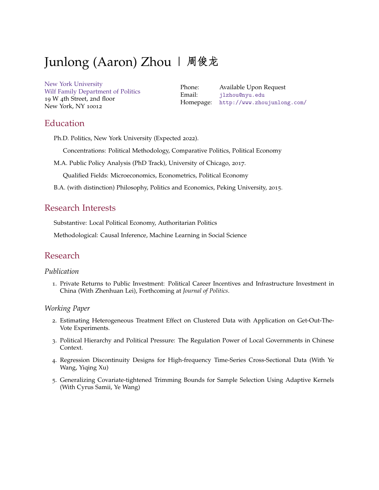# Junlong (Aaron) Zhou | 周俊龙

[New York University](http://www.nyu.edu/) [Wilf Family Department of Politics](http://politics.as.nyu.edu/) 19 W 4th Street, 2nd floor New York, NY 10012

Phone: Available Upon Request Email: [jlzhou@nyu.edu](mailto:jlzhou@nyu.edu) Homepage: <http://www.zhoujunlong.com/>

## Education

Ph.D. Politics, New York University (Expected 2022).

Concentrations: Political Methodology, Comparative Politics, Political Economy

M.A. Public Policy Analysis (PhD Track), University of Chicago, 2017.

Qualified Fields: Microeconomics, Econometrics, Political Economy

B.A. (with distinction) Philosophy, Politics and Economics, Peking University, 2015.

## Research Interests

Substantive: Local Political Economy, Authoritarian Politics

Methodological: Causal Inference, Machine Learning in Social Science

## Research

#### *Publication*

1. Private Returns to Public Investment: Political Career Incentives and Infrastructure Investment in China (With Zhenhuan Lei), Forthcoming at *Journal of Politics*.

#### *Working Paper*

- 2. Estimating Heterogeneous Treatment Effect on Clustered Data with Application on Get-Out-The-Vote Experiments.
- 3. Political Hierarchy and Political Pressure: The Regulation Power of Local Governments in Chinese Context.
- 4. Regression Discontinuity Designs for High-frequency Time-Series Cross-Sectional Data (With Ye Wang, Yiqing Xu)
- 5. Generalizing Covariate-tightened Trimming Bounds for Sample Selection Using Adaptive Kernels (With Cyrus Samii, Ye Wang)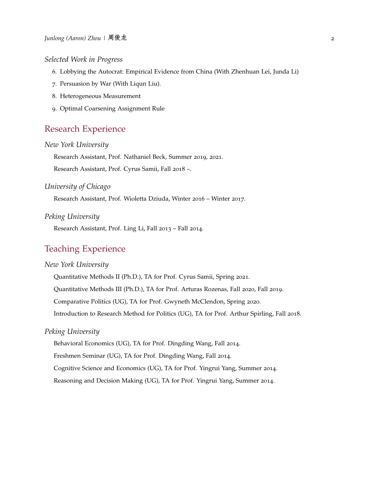#### *Selected Work in Progress*

- 6. Lobbying the Autocrat: Empirical Evidence from China (With Zhenhuan Lei, Junda Li)
- 7. Persuasion by War (With Liqun Liu).
- 8. Heterogeneous Measurement
- 9. Optimal Coarsening Assignment Rule

## Research Experience

## *New York University*

Research Assistant, Prof. Nathaniel Beck, Summer 2019, 2021.

Research Assistant, Prof. Cyrus Samii, Fall 2018 –.

#### *University of Chicago*

Research Assistant, Prof. Wioletta Dziuda, Winter 2016 – Winter 2017.

#### *Peking University*

Research Assistant, Prof. Ling Li, Fall 2013 – Fall 2014.

# Teaching Experience

#### *New York University*

Quantitative Methods II (Ph.D.), TA for Prof. Cyrus Samii, Spring 2021.

Quantitative Methods III (Ph.D.), TA for Prof. Arturas Rozenas, Fall 2020, Fall 2019.

Comparative Politics (UG), TA for Prof. Gwyneth McClendon, Spring 2020.

Introduction to Research Method for Politics (UG), TA for Prof. Arthur Spirling, Fall 2018.

#### *Peking University*

Behavioral Economics (UG), TA for Prof. Dingding Wang, Fall 2014.

Freshmen Seminar (UG), TA for Prof. Dingding Wang, Fall 2014.

Cognitive Science and Economics (UG), TA for Prof. Yingrui Yang, Summer 2014.

Reasoning and Decision Making (UG), TA for Prof. Yingrui Yang, Summer 2014.